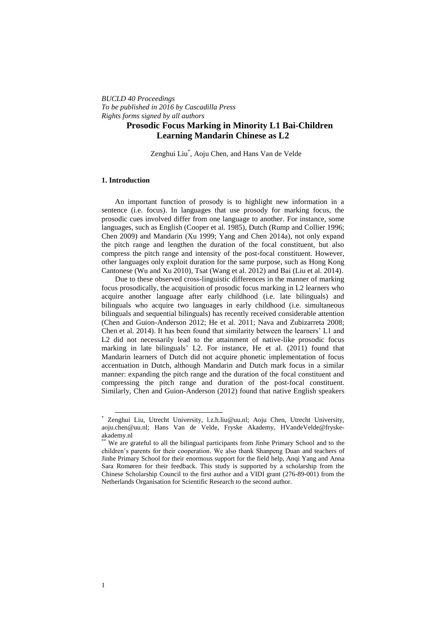*BUCLD 40 Proceedings To be published in 2016 by Cascadilla Press Rights forms signed by all authors*

# **Prosodic Focus Marking in Minority L1 Bai-Children Learning Mandarin Chinese as L2**

Zenghui Liu<sup>\*</sup>, Aoju Chen, and Hans Van de Velde

### **1. Introduction**

An important function of prosody is to highlight new information in a sentence (i.e. focus). In languages that use prosody for marking focus, the prosodic cues involved differ from one language to another. For instance, some languages, such as English (Cooper et al. 1985), Dutch (Rump and Collier 1996; Chen 2009) and Mandarin (Xu 1999; Yang and Chen 2014a), not only expand the pitch range and lengthen the duration of the focal constituent, but also compress the pitch range and intensity of the post-focal constituent. However, other languages only exploit duration for the same purpose, such as Hong Kong Cantonese (Wu and Xu 2010), Tsat (Wang et al. 2012) and Bai (Liu et al. 2014).

Due to these observed cross-linguistic differences in the manner of marking focus prosodically, the acquisition of prosodic focus marking in L2 learners who acquire another language after early childhood (i.e. late bilinguals) and bilinguals who acquire two languages in early childhood (i.e. simultaneous bilinguals and sequential bilinguals) has recently received considerable attention (Chen and Guion-Anderson 2012; He et al. 2011; Nava and Zubizarreta 2008; Chen et al. 2014). It has been found that similarity between the learners' L1 and L2 did not necessarily lead to the attainment of native-like prosodic focus marking in late bilinguals' L2. For instance, He et al. (2011) found that Mandarin learners of Dutch did not acquire phonetic implementation of focus accentuation in Dutch, although Mandarin and Dutch mark focus in a similar manner: expanding the pitch range and the duration of the focal constituent and compressing the pitch range and duration of the post-focal constituent. Similarly, Chen and Guion-Anderson (2012) found that native English speakers

 $\overline{a}$ 

<sup>\*</sup> Zenghui Liu, Utrecht University, l.z.h.liu@uu.nl; Aoju Chen, Utrecht University, aoju.chen@uu.nl; Hans Van de Velde, Fryske Akademy, HVandeVelde@fryskeakademy.nl

We are grateful to all the bilingual participants from Jinhe Primary School and to the children's parents for their cooperation. We also thank Shanpeng Duan and teachers of Jinhe Primary School for their enormous support for the field help, Anqi Yang and Anna Sara Romøren for their feedback. This study is supported by a scholarship from the Chinese Scholarship Council to the first author and a VIDI grant (276-89-001) from the Netherlands Organisation for Scientific Research to the second author.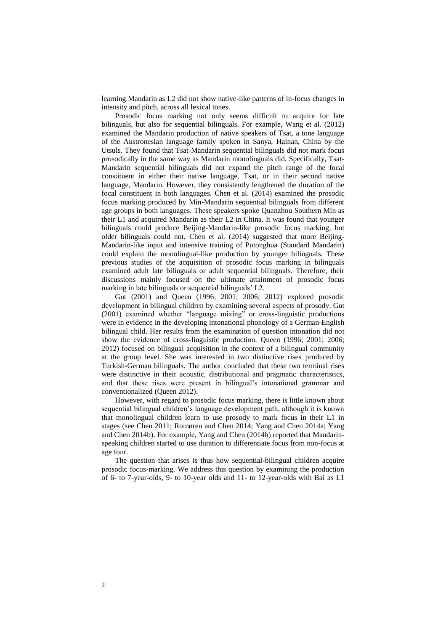learning Mandarin as L2 did not show native-like patterns of in-focus changes in intensity and pitch, across all lexical tones.

Prosodic focus marking not only seems difficult to acquire for late bilinguals, but also for sequential bilinguals. For example, Wang et al. (2012) examined the Mandarin production of native speakers of Tsat, a tone language of the Austronesian language family spoken in Sanya, Hainan, China by the Utsuls. They found that Tsat-Mandarin sequential bilinguals did not mark focus prosodically in the same way as Mandarin monolinguals did. Specifically, Tsat-Mandarin sequential bilinguals did not expand the pitch range of the focal constituent in either their native language, Tsat, or in their second native language, Mandarin. However, they consistently lengthened the duration of the focal constituent in both languages. Chen et al. (2014) examined the prosodic focus marking produced by Min-Mandarin sequential bilinguals from different age groups in both languages. These speakers spoke Quanzhou Southern Min as their L1 and acquired Mandarin as their L2 in China. It was found that younger bilinguals could produce Beijing-Mandarin-like prosodic focus marking, but older bilinguals could not. Chen et al. (2014) suggested that more Beijing-Mandarin-like input and intensive training of Putonghua (Standard Mandarin) could explain the monolingual-like production by younger bilinguals. These previous studies of the acquisition of prosodic focus marking in bilinguals examined adult late bilinguals or adult sequential bilinguals. Therefore, their discussions mainly focused on the ultimate attainment of prosodic focus marking in late bilinguals or sequential bilinguals' L2.

Gut (2001) and Queen (1996; 2001; 2006; 2012) explored prosodic development in bilingual children by examining several aspects of prosody. Gut (2001) examined whether "language mixing" or cross-linguistic productions were in evidence in the developing intonational phonology of a German-English bilingual child. Her results from the examination of question intonation did not show the evidence of cross-linguistic production. Queen (1996; 2001; 2006; 2012) focused on bilingual acquisition in the context of a bilingual community at the group level. She was interested in two distinctive rises produced by Turkish-German bilinguals. The author concluded that these two terminal rises were distinctive in their acoustic, distributional and pragmatic characteristics, and that these rises were present in bilingual's intonational grammar and conventionalized (Queen 2012).

However, with regard to prosodic focus marking, there is little known about sequential bilingual children's language development path, although it is known that monolingual children learn to use prosody to mark focus in their L1 in stages (see Chen 2011; Romøren and Chen 2014; Yang and Chen 2014a; Yang and Chen 2014b). For example, Yang and Chen (2014b) reported that Mandarinspeaking children started to use duration to differentiate focus from non-focus at age four.

The question that arises is thus how sequential-bilingual children acquire prosodic focus-marking. We address this question by examining the production of 6- to 7-year-olds, 9- to 10-year olds and 11- to 12-year-olds with Bai as L1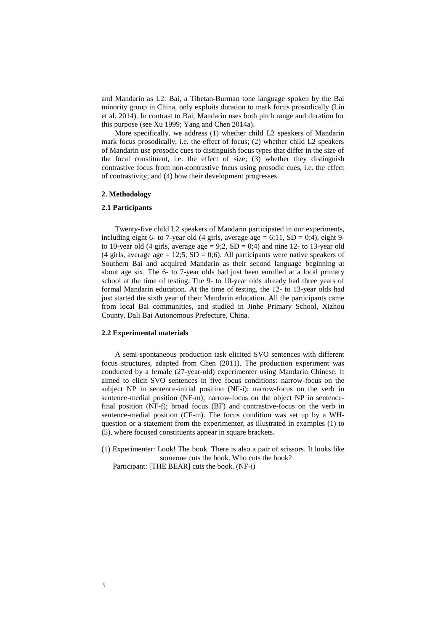and Mandarin as L2. Bai, a Tibetan-Burman tone language spoken by the Bai minority group in China, only exploits duration to mark focus prosodically (Liu et al. 2014). In contrast to Bai, Mandarin uses both pitch range and duration for this purpose (see Xu 1999; Yang and Chen 2014a).

More specifically, we address (1) whether child L2 speakers of Mandarin mark focus prosodically, i.e. the effect of focus; (2) whether child L2 speakers of Mandarin use prosodic cues to distinguish focus types that differ in the size of the focal constituent, i.e. the effect of size; (3) whether they distinguish contrastive focus from non-contrastive focus using prosodic cues, i.e. the effect of contrastivity; and (4) how their development progresses.

## **2. Methodology**

### **2.1 Participants**

Twenty-five child L2 speakers of Mandarin participated in our experiments, including eight 6- to 7-year old (4 girls, average age  $= 6;11$ ,  $SD = 0;4$ ), eight 9to 10-year old (4 girls, average age = 9;2,  $SD = 0;4$ ) and nine 12- to 13-year old (4 girls, average age = 12;5,  $SD = 0$ ;6). All participants were native speakers of Southern Bai and acquired Mandarin as their second language beginning at about age six. The 6- to 7-year olds had just been enrolled at a local primary school at the time of testing. The 9- to 10-year olds already had three years of formal Mandarin education. At the time of testing, the 12- to 13-year olds had just started the sixth year of their Mandarin education. All the participants came from local Bai communities, and studied in Jinhe Primary School, Xizhou County, Dali Bai Autonomous Prefecture, China.

### **2.2 Experimental materials**

A semi-spontaneous production task elicited SVO sentences with different focus structures, adapted from Chen (2011). The production experiment was conducted by a female (27-year-old) experimenter using Mandarin Chinese. It aimed to elicit SVO sentences in five focus conditions: narrow-focus on the subject NP in sentence-initial position (NF-i); narrow-focus on the verb in sentence-medial position (NF-m); narrow-focus on the object NP in sentencefinal position (NF-f); broad focus (BF) and contrastive-focus on the verb in sentence-medial position (CF-m). The focus condition was set up by a WHquestion or a statement from the experimenter, as illustrated in examples (1) to (5), where focused constituents appear in square brackets.

(1) Experimenter: Look! The book. There is also a pair of scissors. It looks like someone cuts the book. Who cuts the book?

Participant: [THE BEAR] cuts the book. (NF-i)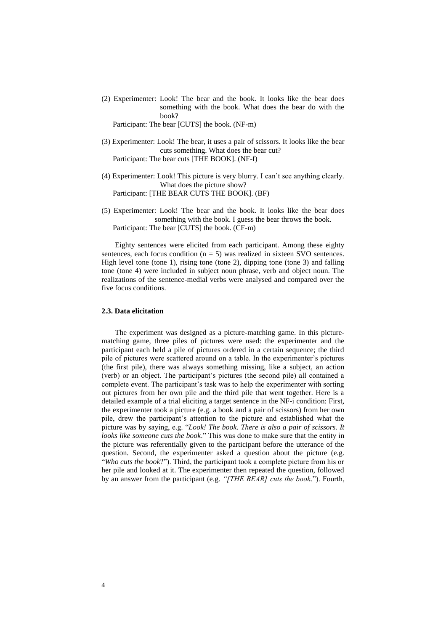(2) Experimenter: Look! The bear and the book. It looks like the bear does something with the book. What does the bear do with the book?

Participant: The bear [CUTS] the book. (NF-m)

- (3) Experimenter: Look! The bear, it uses a pair of scissors. It looks like the bear cuts something. What does the bear cut? Participant: The bear cuts [THE BOOK]. (NF-f)
- (4) Experimenter: Look! This picture is very blurry. I can't see anything clearly. What does the picture show? Participant: [THE BEAR CUTS THE BOOK]. (BF)
- (5) Experimenter: Look! The bear and the book. It looks like the bear does something with the book. I guess the bear throws the book. Participant: The bear [CUTS] the book. (CF-m)

Eighty sentences were elicited from each participant. Among these eighty sentences, each focus condition ( $n = 5$ ) was realized in sixteen SVO sentences. High level tone (tone 1), rising tone (tone 2), dipping tone (tone 3) and falling tone (tone 4) were included in subject noun phrase, verb and object noun. The realizations of the sentence-medial verbs were analysed and compared over the five focus conditions.

### **2.3. Data elicitation**

The experiment was designed as a picture-matching game. In this picturematching game, three piles of pictures were used: the experimenter and the participant each held a pile of pictures ordered in a certain sequence; the third pile of pictures were scattered around on a table. In the experimenter's pictures (the first pile), there was always something missing, like a subject, an action (verb) or an object. The participant's pictures (the second pile) all contained a complete event. The participant's task was to help the experimenter with sorting out pictures from her own pile and the third pile that went together. Here is a detailed example of a trial eliciting a target sentence in the NF-i condition: First, the experimenter took a picture (e.g. a book and a pair of scissors) from her own pile, drew the participant's attention to the picture and established what the picture was by saying, e.g. "*Look! The book. There is also a pair of scissors. It looks like someone cuts the book*." This was done to make sure that the entity in the picture was referentially given to the participant before the utterance of the question. Second, the experimenter asked a question about the picture (e.g. "*Who cuts the book*?"). Third, the participant took a complete picture from his or her pile and looked at it. The experimenter then repeated the question, followed by an answer from the participant (e.g. *"[THE BEAR] cuts the book*."). Fourth,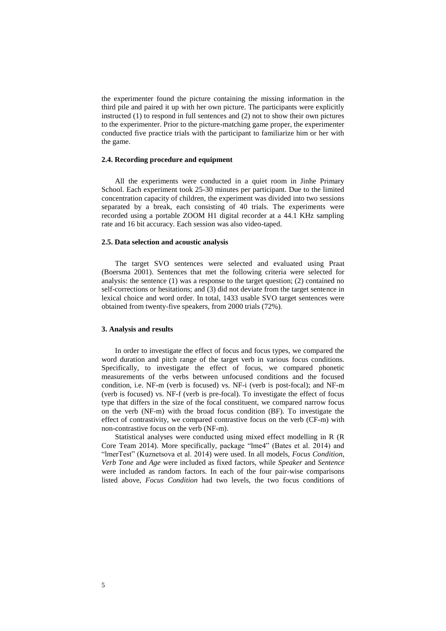the experimenter found the picture containing the missing information in the third pile and paired it up with her own picture. The participants were explicitly instructed (1) to respond in full sentences and (2) not to show their own pictures to the experimenter. Prior to the picture-matching game proper, the experimenter conducted five practice trials with the participant to familiarize him or her with the game.

### **2.4. Recording procedure and equipment**

All the experiments were conducted in a quiet room in Jinhe Primary School. Each experiment took 25-30 minutes per participant. Due to the limited concentration capacity of children, the experiment was divided into two sessions separated by a break, each consisting of 40 trials. The experiments were recorded using a portable ZOOM H1 digital recorder at a 44.1 KHz sampling rate and 16 bit accuracy. Each session was also video-taped.

### **2.5. Data selection and acoustic analysis**

The target SVO sentences were selected and evaluated using Praat (Boersma 2001). Sentences that met the following criteria were selected for analysis: the sentence (1) was a response to the target question; (2) contained no self-corrections or hesitations; and (3) did not deviate from the target sentence in lexical choice and word order. In total, 1433 usable SVO target sentences were obtained from twenty-five speakers, from 2000 trials (72%).

#### **3. Analysis and results**

In order to investigate the effect of focus and focus types, we compared the word duration and pitch range of the target verb in various focus conditions. Specifically, to investigate the effect of focus, we compared phonetic measurements of the verbs between unfocused conditions and the focused condition, i.e. NF-m (verb is focused) vs. NF-i (verb is post-focal); and NF-m (verb is focused) vs. NF-f (verb is pre-focal). To investigate the effect of focus type that differs in the size of the focal constituent, we compared narrow focus on the verb (NF-m) with the broad focus condition (BF). To investigate the effect of contrastivity, we compared contrastive focus on the verb (CF-m) with non-contrastive focus on the verb (NF-m).

Statistical analyses were conducted using mixed effect modelling in R (R Core Team 2014). More specifically, package "lme4" (Bates et al. 2014) and "lmerTest" (Kuznetsova et al. 2014) were used. In all models, *Focus Condition*, *Verb Tone* and *Age* were included as fixed factors, while *Speaker* and *Sentence* were included as random factors. In each of the four pair-wise comparisons listed above, *Focus Condition* had two levels, the two focus conditions of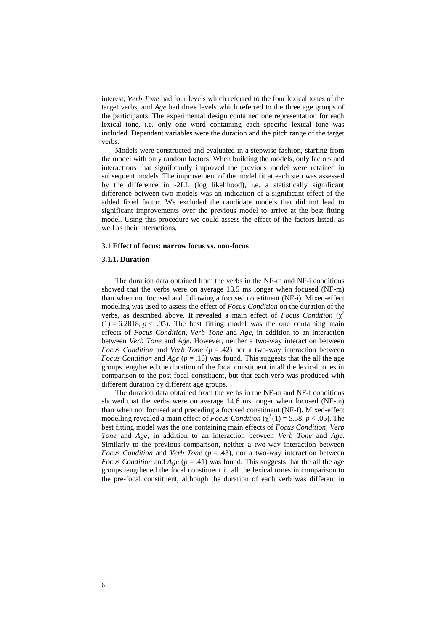interest; *Verb Tone* had four levels which referred to the four lexical tones of the target verbs; and *Age* had three levels which referred to the three age groups of the participants. The experimental design contained one representation for each lexical tone, i.e. only one word containing each specific lexical tone was included. Dependent variables were the duration and the pitch range of the target verbs.

Models were constructed and evaluated in a stepwise fashion, starting from the model with only random factors. When building the models, only factors and interactions that significantly improved the previous model were retained in subsequent models. The improvement of the model fit at each step was assessed by the difference in -2LL (log likelihood), i.e. a statistically significant difference between two models was an indication of a significant effect of the added fixed factor. We excluded the candidate models that did not lead to significant improvements over the previous model to arrive at the best fitting model. Using this procedure we could assess the effect of the factors listed, as well as their interactions.

#### **3.1 Effect of focus: narrow focus vs. non-focus**

### **3.1.1. Duration**

The duration data obtained from the verbs in the NF-m and NF-i conditions showed that the verbs were on average 18.5 ms longer when focused (NF-m) than when not focused and following a focused constituent (NF-i). Mixed-effect modeling was used to assess the effect of *Focus Condition* on the duration of the verbs, as described above. It revealed a main effect of *Focus Condition*  $(\chi^2)$  $(1) = 6.2818, p < .05$ ). The best fitting model was the one containing main effects of *Focus Condition*, *Verb Tone* and *Age*, in addition to an interaction between *Verb Tone* and *Age*. However, neither a two-way interaction between *Focus Condition* and *Verb Tone* (*p* = .42) nor a two-way interaction between *Focus Condition* and *Age* ( $p = .16$ ) was found. This suggests that the all the age groups lengthened the duration of the focal constituent in all the lexical tones in comparison to the post-focal constituent, but that each verb was produced with different duration by different age groups.

The duration data obtained from the verbs in the NF-m and NF-f conditions showed that the verbs were on average 14.6 ms longer when focused (NF-m) than when not focused and preceding a focused constituent (NF-f). Mixed-effect modelling revealed a main effect of *Focus Condition* ( $\chi^2$  (1) = 5.58, *p* < .05). The best fitting model was the one containing main effects of *Focus Condition*, *Verb Tone* and *Age*, in addition to an interaction between *Verb Tone* and *Age*. Similarly to the previous comparison, neither a two-way interaction between *Focus Condition* and *Verb Tone* ( $p = .43$ ), nor a two-way interaction between *Focus Condition* and *Age* ( $p = .41$ ) was found. This suggests that the all the age groups lengthened the focal constituent in all the lexical tones in comparison to the pre-focal constituent, although the duration of each verb was different in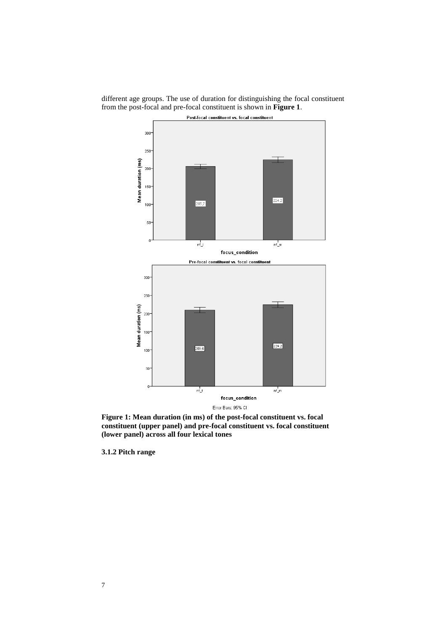

different age groups. The use of duration for distinguishing the focal constituent from the post-focal and pre-focal constituent is shown in **Figure 1**.

**Figure 1: Mean duration (in ms) of the post-focal constituent vs. focal constituent (upper panel) and pre-focal constituent vs. focal constituent (lower panel) across all four lexical tones** 

**3.1.2 Pitch range**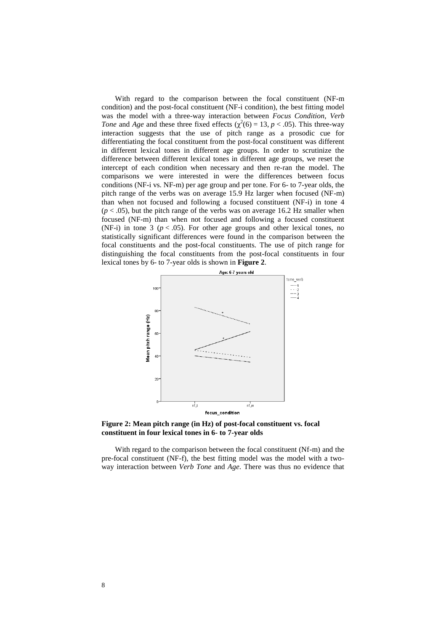With regard to the comparison between the focal constituent (NF-m condition) and the post-focal constituent (NF-i condition), the best fitting model was the model with a three-way interaction between *Focus Condition*, *Verb Tone* and *Age* and these three fixed effects ( $\chi^2(6) = 13$ ,  $p < .05$ ). This three-way interaction suggests that the use of pitch range as a prosodic cue for differentiating the focal constituent from the post-focal constituent was different in different lexical tones in different age groups. In order to scrutinize the difference between different lexical tones in different age groups, we reset the intercept of each condition when necessary and then re-ran the model. The comparisons we were interested in were the differences between focus conditions (NF-i vs. NF-m) per age group and per tone. For 6- to 7-year olds, the pitch range of the verbs was on average 15.9 Hz larger when focused (NF-m) than when not focused and following a focused constituent (NF-i) in tone 4  $(p < .05)$ , but the pitch range of the verbs was on average 16.2 Hz smaller when focused (NF-m) than when not focused and following a focused constituent (NF-i) in tone 3 ( $p < .05$ ). For other age groups and other lexical tones, no statistically significant differences were found in the comparison between the focal constituents and the post-focal constituents. The use of pitch range for distinguishing the focal constituents from the post-focal constituents in four lexical tones by 6- to 7-year olds is shown in **Figure 2**.



**Figure 2: Mean pitch range (in Hz) of post-focal constituent vs. focal constituent in four lexical tones in 6- to 7-year olds**

With regard to the comparison between the focal constituent (Nf-m) and the pre-focal constituent (NF-f), the best fitting model was the model with a twoway interaction between *Verb Tone* and *Age*. There was thus no evidence that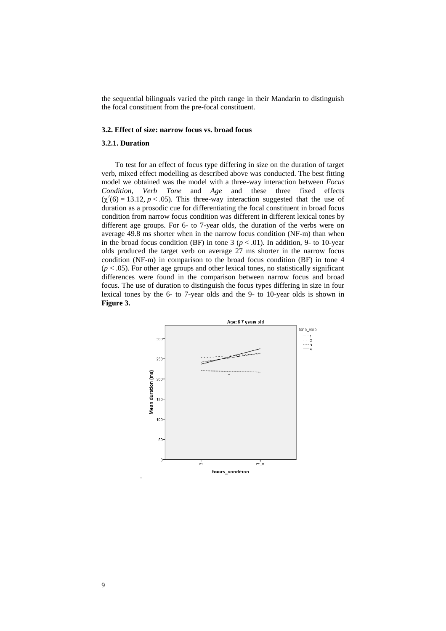the sequential bilinguals varied the pitch range in their Mandarin to distinguish the focal constituent from the pre-focal constituent.

#### **3.2. Effect of size: narrow focus vs. broad focus**

# **3.2.1. Duration**

To test for an effect of focus type differing in size on the duration of target verb, mixed effect modelling as described above was conducted. The best fitting model we obtained was the model with a three-way interaction between *Focus Condition*, *Verb Tone* and *Age* and these three fixed effects  $(\chi^2(6) = 13.12, p < .05)$ . This three-way interaction suggested that the use of duration as a prosodic cue for differentiating the focal constituent in broad focus condition from narrow focus condition was different in different lexical tones by different age groups. For 6- to 7-year olds, the duration of the verbs were on average 49.8 ms shorter when in the narrow focus condition (NF-m) than when in the broad focus condition (BF) in tone 3 ( $p < .01$ ). In addition, 9- to 10-year olds produced the target verb on average 27 ms shorter in the narrow focus condition (NF-m) in comparison to the broad focus condition (BF) in tone 4  $(p < .05)$ . For other age groups and other lexical tones, no statistically significant differences were found in the comparison between narrow focus and broad focus. The use of duration to distinguish the focus types differing in size in four lexical tones by the 6- to 7-year olds and the 9- to 10-year olds is shown in **Figure 3.**

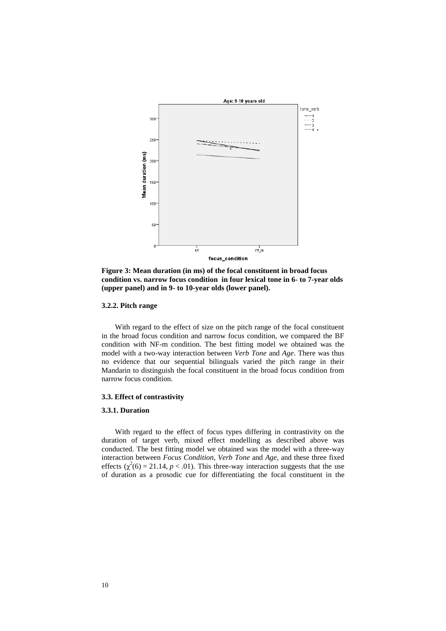

**Figure 3: Mean duration (in ms) of the focal constituent in broad focus condition vs. narrow focus condition in four lexical tone in 6- to 7-year olds (upper panel) and in 9- to 10-year olds (lower panel).**

### **3.2.2. Pitch range**

With regard to the effect of size on the pitch range of the focal constituent in the broad focus condition and narrow focus condition, we compared the BF condition with NF-m condition. The best fitting model we obtained was the model with a two-way interaction between *Verb Tone* and *Age*. There was thus no evidence that our sequential bilinguals varied the pitch range in their Mandarin to distinguish the focal constituent in the broad focus condition from narrow focus condition.

# **3.3. Effect of contrastivity**

### **3.3.1. Duration**

With regard to the effect of focus types differing in contrastivity on the duration of target verb, mixed effect modelling as described above was conducted. The best fitting model we obtained was the model with a three-way interaction between *Focus Condition*, *Verb Tone* and *Age*, and these three fixed effects  $(\chi^2(6) = 21.14, p < .01)$ . This three-way interaction suggests that the use of duration as a prosodic cue for differentiating the focal constituent in the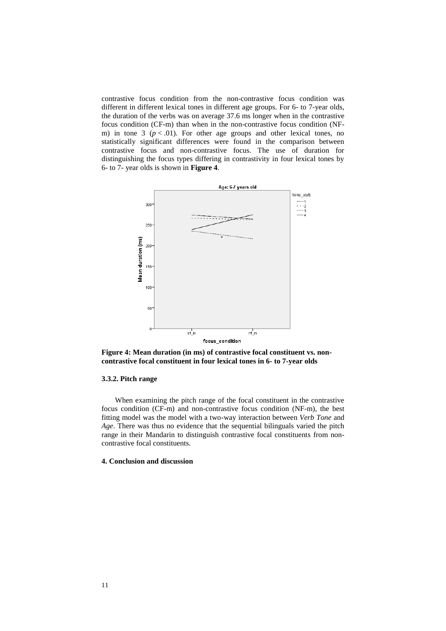contrastive focus condition from the non-contrastive focus condition was different in different lexical tones in different age groups. For 6- to 7-year olds, the duration of the verbs was on average 37.6 ms longer when in the contrastive focus condition (CF-m) than when in the non-contrastive focus condition (NFm) in tone 3  $(p < .01)$ . For other age groups and other lexical tones, no statistically significant differences were found in the comparison between contrastive focus and non-contrastive focus. The use of duration for distinguishing the focus types differing in contrastivity in four lexical tones by 6- to 7- year olds is shown in **Figure 4**.



**Figure 4: Mean duration (in ms) of contrastive focal constituent vs. noncontrastive focal constituent in four lexical tones in 6- to 7-year olds** 

### **3.3.2. Pitch range**

When examining the pitch range of the focal constituent in the contrastive focus condition (CF-m) and non-contrastive focus condition (NF-m), the best fitting model was the model with a two-way interaction between *Verb Tone* and *Age*. There was thus no evidence that the sequential bilinguals varied the pitch range in their Mandarin to distinguish contrastive focal constituents from noncontrastive focal constituents.

### **4. Conclusion and discussion**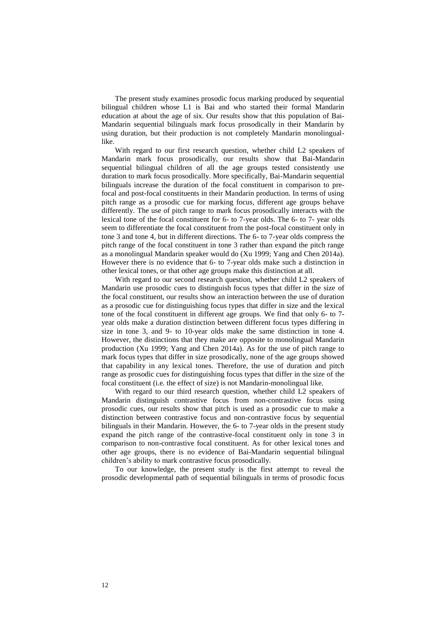The present study examines prosodic focus marking produced by sequential bilingual children whose L1 is Bai and who started their formal Mandarin education at about the age of six. Our results show that this population of Bai-Mandarin sequential bilinguals mark focus prosodically in their Mandarin by using duration, but their production is not completely Mandarin monolinguallike.

With regard to our first research question, whether child L2 speakers of Mandarin mark focus prosodically, our results show that Bai-Mandarin sequential bilingual children of all the age groups tested consistently use duration to mark focus prosodically. More specifically, Bai-Mandarin sequential bilinguals increase the duration of the focal constituent in comparison to prefocal and post-focal constituents in their Mandarin production. In terms of using pitch range as a prosodic cue for marking focus, different age groups behave differently. The use of pitch range to mark focus prosodically interacts with the lexical tone of the focal constituent for 6- to 7-year olds. The 6- to 7- year olds seem to differentiate the focal constituent from the post-focal constituent only in tone 3 and tone 4, but in different directions. The 6- to 7-year olds compress the pitch range of the focal constituent in tone 3 rather than expand the pitch range as a monolingual Mandarin speaker would do (Xu 1999; Yang and Chen 2014a). However there is no evidence that 6- to 7-year olds make such a distinction in other lexical tones, or that other age groups make this distinction at all.

With regard to our second research question, whether child L2 speakers of Mandarin use prosodic cues to distinguish focus types that differ in the size of the focal constituent, our results show an interaction between the use of duration as a prosodic cue for distinguishing focus types that differ in size and the lexical tone of the focal constituent in different age groups. We find that only 6- to 7 year olds make a duration distinction between different focus types differing in size in tone 3, and 9- to 10-year olds make the same distinction in tone 4. However, the distinctions that they make are opposite to monolingual Mandarin production (Xu 1999; Yang and Chen 2014a). As for the use of pitch range to mark focus types that differ in size prosodically, none of the age groups showed that capability in any lexical tones. Therefore, the use of duration and pitch range as prosodic cues for distinguishing focus types that differ in the size of the focal constituent (i.e. the effect of size) is not Mandarin-monolingual like.

With regard to our third research question, whether child L2 speakers of Mandarin distinguish contrastive focus from non-contrastive focus using prosodic cues, our results show that pitch is used as a prosodic cue to make a distinction between contrastive focus and non-contrastive focus by sequential bilinguals in their Mandarin. However, the 6- to 7-year olds in the present study expand the pitch range of the contrastive-focal constituent only in tone 3 in comparison to non-contrastive focal constituent. As for other lexical tones and other age groups, there is no evidence of Bai-Mandarin sequential bilingual children's ability to mark contrastive focus prosodically.

To our knowledge, the present study is the first attempt to reveal the prosodic developmental path of sequential bilinguals in terms of prosodic focus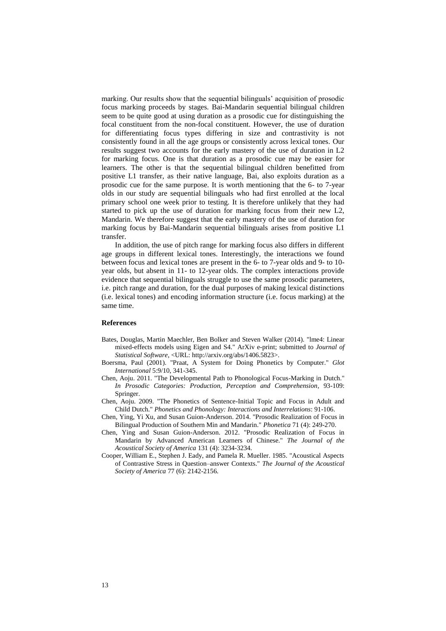marking. Our results show that the sequential bilinguals' acquisition of prosodic focus marking proceeds by stages. Bai-Mandarin sequential bilingual children seem to be quite good at using duration as a prosodic cue for distinguishing the focal constituent from the non-focal constituent. However, the use of duration for differentiating focus types differing in size and contrastivity is not consistently found in all the age groups or consistently across lexical tones. Our results suggest two accounts for the early mastery of the use of duration in L2 for marking focus. One is that duration as a prosodic cue may be easier for learners. The other is that the sequential bilingual children benefitted from positive L1 transfer, as their native language, Bai, also exploits duration as a prosodic cue for the same purpose. It is worth mentioning that the 6- to 7-year olds in our study are sequential bilinguals who had first enrolled at the local primary school one week prior to testing. It is therefore unlikely that they had started to pick up the use of duration for marking focus from their new L2, Mandarin. We therefore suggest that the early mastery of the use of duration for marking focus by Bai-Mandarin sequential bilinguals arises from positive L1 transfer.

In addition, the use of pitch range for marking focus also differs in different age groups in different lexical tones. Interestingly, the interactions we found between focus and lexical tones are present in the 6- to 7-year olds and 9- to 10 year olds, but absent in 11- to 12-year olds. The complex interactions provide evidence that sequential bilinguals struggle to use the same prosodic parameters, i.e. pitch range and duration, for the dual purposes of making lexical distinctions (i.e. lexical tones) and encoding information structure (i.e. focus marking) at the same time.

#### **References**

- Bates, Douglas, Martin Maechler, Ben Bolker and Steven Walker (2014). "lme4: Linear mixed-effects models using Eigen and S4." ArXiv e-print; submitted to *Journal of Statistical Software*, <URL: http://arxiv.org/abs/1406.5823>.
- Boersma, Paul (2001). "Praat, A System for Doing Phonetics by Computer." *Glot International* 5:9/10, 341-345.
- Chen, Aoju. 2011. "The Developmental Path to Phonological Focus-Marking in Dutch." *In Prosodic Categories: Production, Perception and Comprehension*, 93-109: Springer.
- Chen, Aoju. 2009. "The Phonetics of Sentence-Initial Topic and Focus in Adult and Child Dutch." *Phonetics and Phonology: Interactions and Interrelations*: 91-106.
- Chen, Ying, Yi Xu, and Susan Guion-Anderson. 2014. "Prosodic Realization of Focus in Bilingual Production of Southern Min and Mandarin." *Phonetica* 71 (4): 249-270.
- Chen, Ying and Susan Guion-Anderson. 2012. "Prosodic Realization of Focus in Mandarin by Advanced American Learners of Chinese." *The Journal of the Acoustical Society of America* 131 (4): 3234-3234.
- Cooper, William E., Stephen J. Eady, and Pamela R. Mueller. 1985. "Acoustical Aspects of Contrastive Stress in Question–answer Contexts." *The Journal of the Acoustical Society of America* 77 (6): 2142-2156.